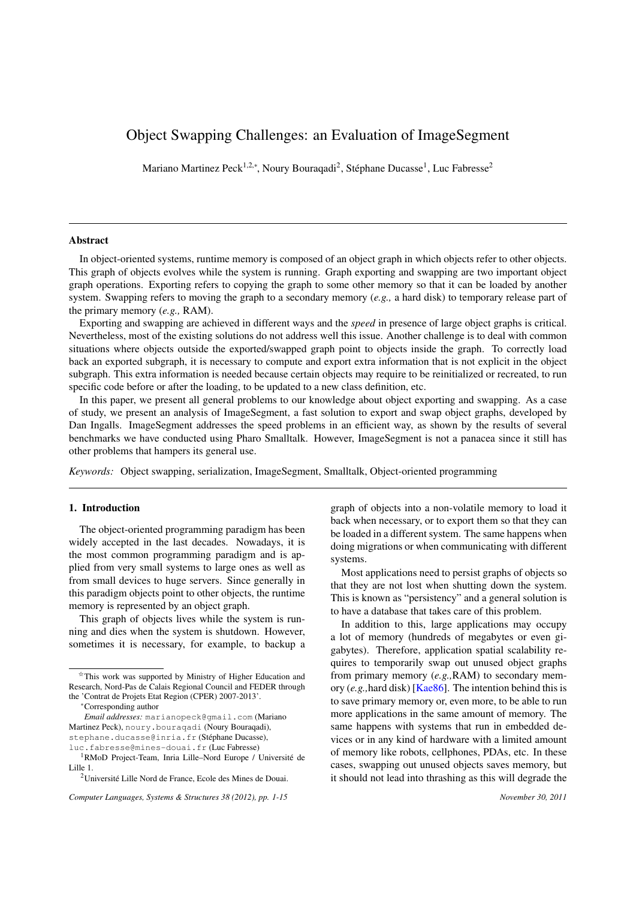# Object Swapping Challenges: an Evaluation of ImageSegment

Mariano Martinez Peck<sup>1,2,∗</sup>, Noury Bouraqadi<sup>2</sup>, Stéphane Ducasse<sup>1</sup>, Luc Fabresse<sup>2</sup>

#### Abstract

In object-oriented systems, runtime memory is composed of an object graph in which objects refer to other objects. This graph of objects evolves while the system is running. Graph exporting and swapping are two important object graph operations. Exporting refers to copying the graph to some other memory so that it can be loaded by another system. Swapping refers to moving the graph to a secondary memory (*e.g.,* a hard disk) to temporary release part of the primary memory (*e.g.,* RAM).

Exporting and swapping are achieved in different ways and the *speed* in presence of large object graphs is critical. Nevertheless, most of the existing solutions do not address well this issue. Another challenge is to deal with common situations where objects outside the exported/swapped graph point to objects inside the graph. To correctly load back an exported subgraph, it is necessary to compute and export extra information that is not explicit in the object subgraph. This extra information is needed because certain objects may require to be reinitialized or recreated, to run specific code before or after the loading, to be updated to a new class definition, etc.

In this paper, we present all general problems to our knowledge about object exporting and swapping. As a case of study, we present an analysis of ImageSegment, a fast solution to export and swap object graphs, developed by Dan Ingalls. ImageSegment addresses the speed problems in an efficient way, as shown by the results of several benchmarks we have conducted using Pharo Smalltalk. However, ImageSegment is not a panacea since it still has other problems that hampers its general use.

*Keywords:* Object swapping, serialization, ImageSegment, Smalltalk, Object-oriented programming

### 1. Introduction

The object-oriented programming paradigm has been widely accepted in the last decades. Nowadays, it is the most common programming paradigm and is applied from very small systems to large ones as well as from small devices to huge servers. Since generally in this paradigm objects point to other objects, the runtime memory is represented by an object graph.

This graph of objects lives while the system is running and dies when the system is shutdown. However, sometimes it is necessary, for example, to backup a graph of objects into a non-volatile memory to load it back when necessary, or to export them so that they can be loaded in a different system. The same happens when doing migrations or when communicating with different systems.

Most applications need to persist graphs of objects so that they are not lost when shutting down the system. This is known as "persistency" and a general solution is to have a database that takes care of this problem.

In addition to this, large applications may occupy a lot of memory (hundreds of megabytes or even gigabytes). Therefore, application spatial scalability requires to temporarily swap out unused object graphs from primary memory (*e.g.,*RAM) to secondary memory (*e.g.,*hard disk) [\[Kae86\]](#page-15-0). The intention behind this is to save primary memory or, even more, to be able to run more applications in the same amount of memory. The same happens with systems that run in embedded devices or in any kind of hardware with a limited amount of memory like robots, cellphones, PDAs, etc. In these cases, swapping out unused objects saves memory, but it should not lead into thrashing as this will degrade the

<sup>✩</sup>This work was supported by Ministry of Higher Education and Research, Nord-Pas de Calais Regional Council and FEDER through the 'Contrat de Projets Etat Region (CPER) 2007-2013'.

<sup>∗</sup>Corresponding author

*Email addresses:* marianopeck@gmail.com (Mariano Martinez Peck), noury.bouraqadi (Noury Bouraqadi), stephane.ducasse@inria.fr (Stéphane Ducasse), luc.fabresse@mines-douai.fr (Luc Fabresse)

<sup>1</sup>RMoD Project-Team, Inria Lille–Nord Europe / Université de Lille 1.

<sup>2</sup>Université Lille Nord de France, Ecole des Mines de Douai.

*Computer Languages, Systems & Structures 38 (2012), pp. 1-15 November 30, 2011*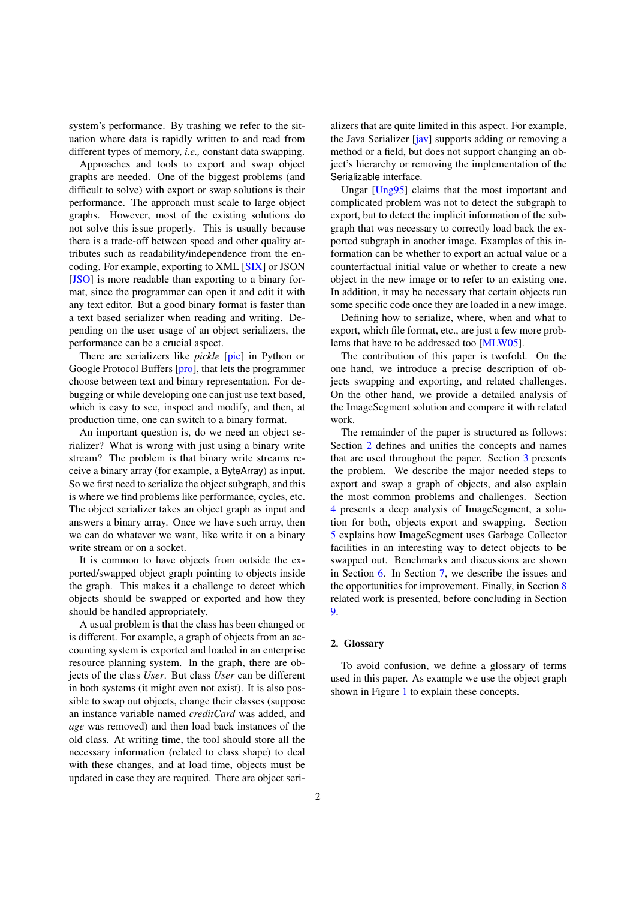system's performance. By trashing we refer to the situation where data is rapidly written to and read from different types of memory, *i.e.,* constant data swapping.

Approaches and tools to export and swap object graphs are needed. One of the biggest problems (and difficult to solve) with export or swap solutions is their performance. The approach must scale to large object graphs. However, most of the existing solutions do not solve this issue properly. This is usually because there is a trade-off between speed and other quality attributes such as readability/independence from the encoding. For example, exporting to XML [\[SIX\]](#page-15-1) or JSON [\[JSO\]](#page-15-2) is more readable than exporting to a binary format, since the programmer can open it and edit it with any text editor. But a good binary format is faster than a text based serializer when reading and writing. Depending on the user usage of an object serializers, the performance can be a crucial aspect.

There are serializers like *pickle* [\[pic\]](#page-15-3) in Python or Google Protocol Buffers [\[pro\]](#page-15-4), that lets the programmer choose between text and binary representation. For debugging or while developing one can just use text based, which is easy to see, inspect and modify, and then, at production time, one can switch to a binary format.

An important question is, do we need an object serializer? What is wrong with just using a binary write stream? The problem is that binary write streams receive a binary array (for example, a ByteArray) as input. So we first need to serialize the object subgraph, and this is where we find problems like performance, cycles, etc. The object serializer takes an object graph as input and answers a binary array. Once we have such array, then we can do whatever we want, like write it on a binary write stream or on a socket.

It is common to have objects from outside the exported/swapped object graph pointing to objects inside the graph. This makes it a challenge to detect which objects should be swapped or exported and how they should be handled appropriately.

A usual problem is that the class has been changed or is different. For example, a graph of objects from an accounting system is exported and loaded in an enterprise resource planning system. In the graph, there are objects of the class *User*. But class *User* can be different in both systems (it might even not exist). It is also possible to swap out objects, change their classes (suppose an instance variable named *creditCard* was added, and *age* was removed) and then load back instances of the old class. At writing time, the tool should store all the necessary information (related to class shape) to deal with these changes, and at load time, objects must be updated in case they are required. There are object seri-

alizers that are quite limited in this aspect. For example, the Java Serializer *[jav]* supports adding or removing a method or a field, but does not support changing an object's hierarchy or removing the implementation of the Serializable interface.

Ungar [\[Ung95\]](#page-15-6) claims that the most important and complicated problem was not to detect the subgraph to export, but to detect the implicit information of the subgraph that was necessary to correctly load back the exported subgraph in another image. Examples of this information can be whether to export an actual value or a counterfactual initial value or whether to create a new object in the new image or to refer to an existing one. In addition, it may be necessary that certain objects run some specific code once they are loaded in a new image.

Defining how to serialize, where, when and what to export, which file format, etc., are just a few more problems that have to be addressed too [\[MLW05\]](#page-15-7).

The contribution of this paper is twofold. On the one hand, we introduce a precise description of objects swapping and exporting, and related challenges. On the other hand, we provide a detailed analysis of the ImageSegment solution and compare it with related work.

The remainder of the paper is structured as follows: Section [2](#page-1-0) defines and unifies the concepts and names that are used throughout the paper. Section [3](#page-2-0) presents the problem. We describe the major needed steps to export and swap a graph of objects, and also explain the most common problems and challenges. Section [4](#page-5-0) presents a deep analysis of ImageSegment, a solution for both, objects export and swapping. Section [5](#page-9-0) explains how ImageSegment uses Garbage Collector facilities in an interesting way to detect objects to be swapped out. Benchmarks and discussions are shown in Section [6.](#page-10-0) In Section [7,](#page-11-0) we describe the issues and the opportunities for improvement. Finally, in Section [8](#page-13-0) related work is presented, before concluding in Section [9.](#page-14-0)

### <span id="page-1-0"></span>2. Glossary

To avoid confusion, we define a glossary of terms used in this paper. As example we use the object graph shown in Figure [1](#page-2-1) to explain these concepts.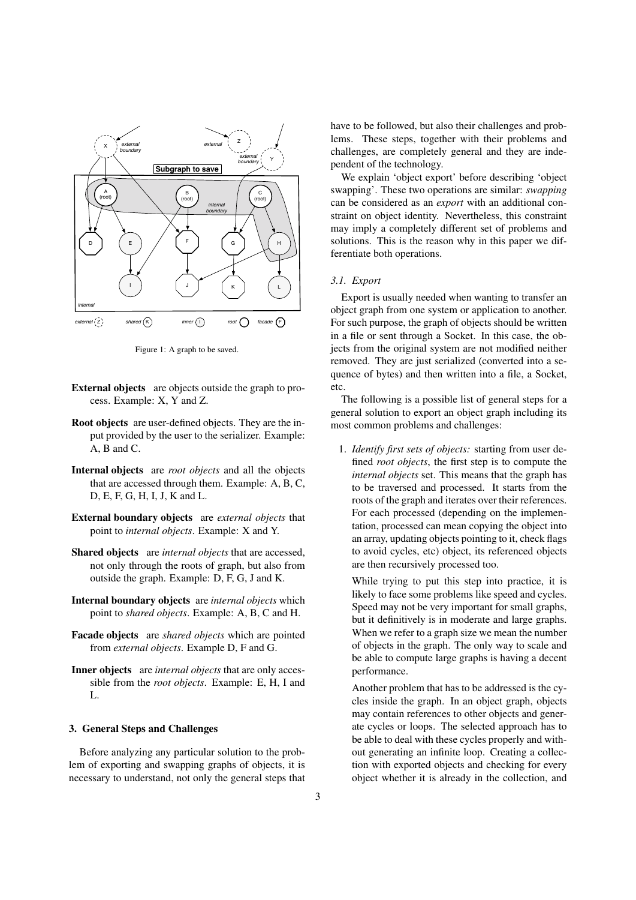

<span id="page-2-1"></span>Figure 1: A graph to be saved.

- External objects are objects outside the graph to process. Example: X, Y and Z.
- Root objects are user-defined objects. They are the input provided by the user to the serializer. Example: A, B and C.
- Internal objects are *root objects* and all the objects that are accessed through them. Example: A, B, C, D, E, F, G, H, I, J, K and L.
- External boundary objects are *external objects* that point to *internal objects*. Example: X and Y.
- Shared objects are *internal objects* that are accessed, not only through the roots of graph, but also from outside the graph. Example: D, F, G, J and K.
- Internal boundary objects are *internal objects* which point to *shared objects*. Example: A, B, C and H.
- Facade objects are *shared objects* which are pointed from *external objects*. Example D, F and G.
- Inner objects are *internal objects* that are only accessible from the *root objects*. Example: E, H, I and L.

#### <span id="page-2-0"></span>3. General Steps and Challenges

Before analyzing any particular solution to the problem of exporting and swapping graphs of objects, it is necessary to understand, not only the general steps that have to be followed, but also their challenges and problems. These steps, together with their problems and challenges, are completely general and they are independent of the technology.

We explain 'object export' before describing 'object swapping'. These two operations are similar: *swapping* can be considered as an *export* with an additional constraint on object identity. Nevertheless, this constraint may imply a completely different set of problems and solutions. This is the reason why in this paper we differentiate both operations.

#### *3.1. Export*

Export is usually needed when wanting to transfer an object graph from one system or application to another. For such purpose, the graph of objects should be written in a file or sent through a Socket. In this case, the objects from the original system are not modified neither removed. They are just serialized (converted into a sequence of bytes) and then written into a file, a Socket, etc.

The following is a possible list of general steps for a general solution to export an object graph including its most common problems and challenges:

1. *Identify first sets of objects:* starting from user defined *root objects*, the first step is to compute the *internal objects* set. This means that the graph has to be traversed and processed. It starts from the roots of the graph and iterates over their references. For each processed (depending on the implementation, processed can mean copying the object into an array, updating objects pointing to it, check flags to avoid cycles, etc) object, its referenced objects are then recursively processed too.

While trying to put this step into practice, it is likely to face some problems like speed and cycles. Speed may not be very important for small graphs, but it definitively is in moderate and large graphs. When we refer to a graph size we mean the number of objects in the graph. The only way to scale and be able to compute large graphs is having a decent performance.

Another problem that has to be addressed is the cycles inside the graph. In an object graph, objects may contain references to other objects and generate cycles or loops. The selected approach has to be able to deal with these cycles properly and without generating an infinite loop. Creating a collection with exported objects and checking for every object whether it is already in the collection, and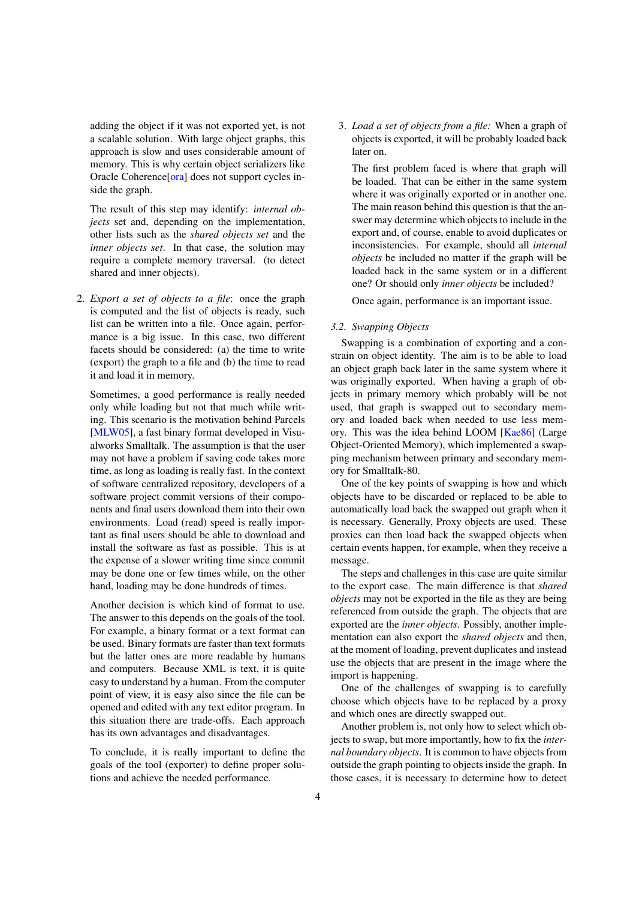adding the object if it was not exported yet, is not a scalable solution. With large object graphs, this approach is slow and uses considerable amount of memory. This is why certain object serializers like Oracle Coherence[\[ora\]](#page-15-8) does not support cycles inside the graph.

The result of this step may identify: *internal objects* set and, depending on the implementation, other lists such as the *shared objects set* and the *inner objects set*. In that case, the solution may require a complete memory traversal. (to detect shared and inner objects).

2. *Export a set of objects to a file*: once the graph is computed and the list of objects is ready, such list can be written into a file. Once again, performance is a big issue. In this case, two different facets should be considered: (a) the time to write (export) the graph to a file and (b) the time to read it and load it in memory.

Sometimes, a good performance is really needed only while loading but not that much while writing. This scenario is the motivation behind Parcels [\[MLW05\]](#page-15-7), a fast binary format developed in Visualworks Smalltalk. The assumption is that the user may not have a problem if saving code takes more time, as long as loading is really fast. In the context of software centralized repository, developers of a software project commit versions of their components and final users download them into their own environments. Load (read) speed is really important as final users should be able to download and install the software as fast as possible. This is at the expense of a slower writing time since commit may be done one or few times while, on the other hand, loading may be done hundreds of times.

Another decision is which kind of format to use. The answer to this depends on the goals of the tool. For example, a binary format or a text format can be used. Binary formats are faster than text formats but the latter ones are more readable by humans and computers. Because XML is text, it is quite easy to understand by a human. From the computer point of view, it is easy also since the file can be opened and edited with any text editor program. In this situation there are trade-offs. Each approach has its own advantages and disadvantages.

To conclude, it is really important to define the goals of the tool (exporter) to define proper solutions and achieve the needed performance.

3. *Load a set of objects from a file:* When a graph of objects is exported, it will be probably loaded back later on.

The first problem faced is where that graph will be loaded. That can be either in the same system where it was originally exported or in another one. The main reason behind this question is that the answer may determine which objects to include in the export and, of course, enable to avoid duplicates or inconsistencies. For example, should all *internal objects* be included no matter if the graph will be loaded back in the same system or in a different one? Or should only *inner objects* be included?

Once again, performance is an important issue.

### *3.2. Swapping Objects*

Swapping is a combination of exporting and a constrain on object identity. The aim is to be able to load an object graph back later in the same system where it was originally exported. When having a graph of objects in primary memory which probably will be not used, that graph is swapped out to secondary memory and loaded back when needed to use less memory. This was the idea behind LOOM [\[Kae86\]](#page-15-0) (Large Object-Oriented Memory), which implemented a swapping mechanism between primary and secondary memory for Smalltalk-80.

One of the key points of swapping is how and which objects have to be discarded or replaced to be able to automatically load back the swapped out graph when it is necessary. Generally, Proxy objects are used. These proxies can then load back the swapped objects when certain events happen, for example, when they receive a message.

The steps and challenges in this case are quite similar to the export case. The main difference is that *shared objects* may not be exported in the file as they are being referenced from outside the graph. The objects that are exported are the *inner objects*. Possibly, another implementation can also export the *shared objects* and then, at the moment of loading, prevent duplicates and instead use the objects that are present in the image where the import is happening.

One of the challenges of swapping is to carefully choose which objects have to be replaced by a proxy and which ones are directly swapped out.

Another problem is, not only how to select which objects to swap, but more importantly, how to fix the *internal boundary objects*. It is common to have objects from outside the graph pointing to objects inside the graph. In those cases, it is necessary to determine how to detect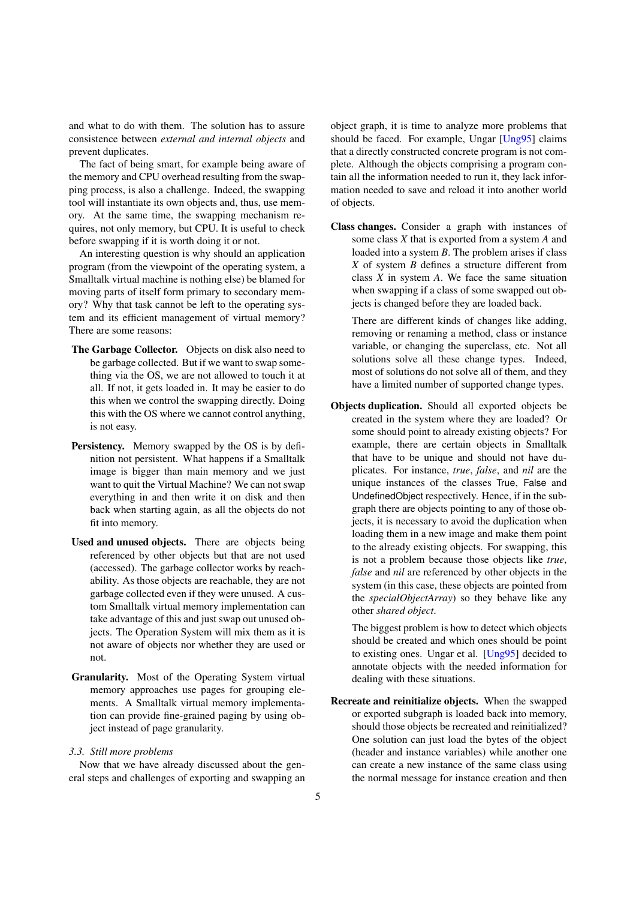and what to do with them. The solution has to assure consistence between *external and internal objects* and prevent duplicates.

The fact of being smart, for example being aware of the memory and CPU overhead resulting from the swapping process, is also a challenge. Indeed, the swapping tool will instantiate its own objects and, thus, use memory. At the same time, the swapping mechanism requires, not only memory, but CPU. It is useful to check before swapping if it is worth doing it or not.

An interesting question is why should an application program (from the viewpoint of the operating system, a Smalltalk virtual machine is nothing else) be blamed for moving parts of itself form primary to secondary memory? Why that task cannot be left to the operating system and its efficient management of virtual memory? There are some reasons:

- The Garbage Collector. Objects on disk also need to be garbage collected. But if we want to swap something via the OS, we are not allowed to touch it at all. If not, it gets loaded in. It may be easier to do this when we control the swapping directly. Doing this with the OS where we cannot control anything, is not easy.
- Persistency. Memory swapped by the OS is by definition not persistent. What happens if a Smalltalk image is bigger than main memory and we just want to quit the Virtual Machine? We can not swap everything in and then write it on disk and then back when starting again, as all the objects do not fit into memory.
- Used and unused objects. There are objects being referenced by other objects but that are not used (accessed). The garbage collector works by reachability. As those objects are reachable, they are not garbage collected even if they were unused. A custom Smalltalk virtual memory implementation can take advantage of this and just swap out unused objects. The Operation System will mix them as it is not aware of objects nor whether they are used or not.
- Granularity. Most of the Operating System virtual memory approaches use pages for grouping elements. A Smalltalk virtual memory implementation can provide fine-grained paging by using object instead of page granularity.

#### <span id="page-4-0"></span>*3.3. Still more problems*

Now that we have already discussed about the general steps and challenges of exporting and swapping an object graph, it is time to analyze more problems that should be faced. For example, Ungar [\[Ung95\]](#page-15-6) claims that a directly constructed concrete program is not complete. Although the objects comprising a program contain all the information needed to run it, they lack information needed to save and reload it into another world of objects.

Class changes. Consider a graph with instances of some class *X* that is exported from a system *A* and loaded into a system *B*. The problem arises if class *X* of system *B* defines a structure different from class *X* in system *A*. We face the same situation when swapping if a class of some swapped out objects is changed before they are loaded back.

There are different kinds of changes like adding, removing or renaming a method, class or instance variable, or changing the superclass, etc. Not all solutions solve all these change types. Indeed, most of solutions do not solve all of them, and they have a limited number of supported change types.

Objects duplication. Should all exported objects be created in the system where they are loaded? Or some should point to already existing objects? For example, there are certain objects in Smalltalk that have to be unique and should not have duplicates. For instance, *true*, *false*, and *nil* are the unique instances of the classes True, False and UndefinedObject respectively. Hence, if in the subgraph there are objects pointing to any of those objects, it is necessary to avoid the duplication when loading them in a new image and make them point to the already existing objects. For swapping, this is not a problem because those objects like *true*, *false* and *nil* are referenced by other objects in the system (in this case, these objects are pointed from the *specialObjectArray*) so they behave like any other *shared object*.

The biggest problem is how to detect which objects should be created and which ones should be point to existing ones. Ungar et al. [\[Ung95\]](#page-15-6) decided to annotate objects with the needed information for dealing with these situations.

Recreate and reinitialize objects. When the swapped or exported subgraph is loaded back into memory, should those objects be recreated and reinitialized? One solution can just load the bytes of the object (header and instance variables) while another one can create a new instance of the same class using the normal message for instance creation and then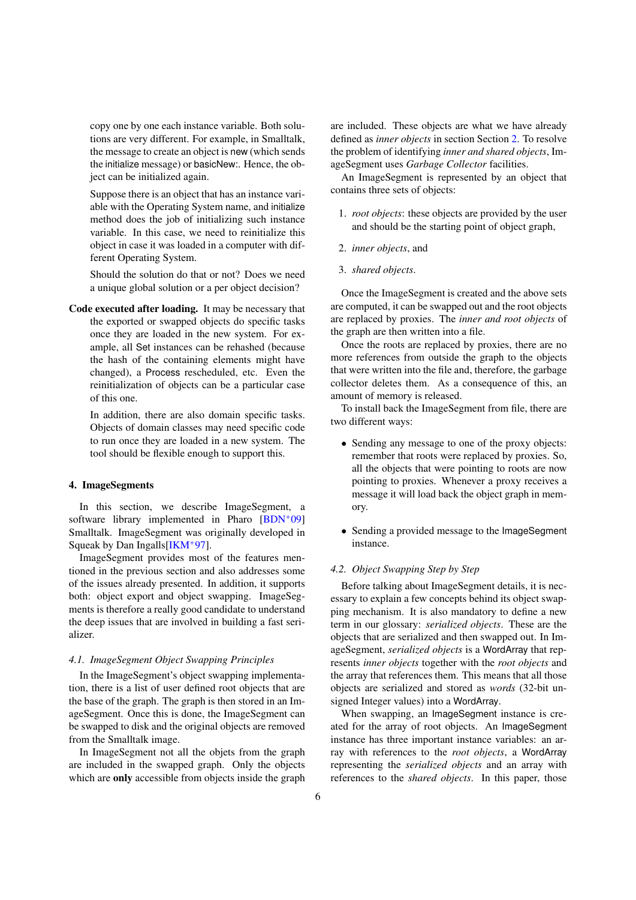copy one by one each instance variable. Both solutions are very different. For example, in Smalltalk, the message to create an object is new (which sends the initialize message) or basicNew:. Hence, the object can be initialized again.

Suppose there is an object that has an instance variable with the Operating System name, and initialize method does the job of initializing such instance variable. In this case, we need to reinitialize this object in case it was loaded in a computer with different Operating System.

Should the solution do that or not? Does we need a unique global solution or a per object decision?

Code executed after loading. It may be necessary that the exported or swapped objects do specific tasks once they are loaded in the new system. For example, all Set instances can be rehashed (because the hash of the containing elements might have changed), a Process rescheduled, etc. Even the reinitialization of objects can be a particular case of this one.

In addition, there are also domain specific tasks. Objects of domain classes may need specific code to run once they are loaded in a new system. The tool should be flexible enough to support this.

### <span id="page-5-0"></span>4. ImageSegments

In this section, we describe ImageSegment, a software library implemented in Pharo [\[BDN](#page-15-9)+09] Smalltalk. ImageSegment was originally developed in Squeak by Dan Ingalls[\[IKM](#page-15-10)+97].

ImageSegment provides most of the features mentioned in the previous section and also addresses some of the issues already presented. In addition, it supports both: object export and object swapping. ImageSegments is therefore a really good candidate to understand the deep issues that are involved in building a fast serializer.

### *4.1. ImageSegment Object Swapping Principles*

In the ImageSegment's object swapping implementation, there is a list of user defined root objects that are the base of the graph. The graph is then stored in an ImageSegment. Once this is done, the ImageSegment can be swapped to disk and the original objects are removed from the Smalltalk image.

In ImageSegment not all the objets from the graph are included in the swapped graph. Only the objects which are only accessible from objects inside the graph are included. These objects are what we have already defined as *inner objects* in section Section [2.](#page-1-0) To resolve the problem of identifying *inner and shared objects*, ImageSegment uses *Garbage Collector* facilities.

An ImageSegment is represented by an object that contains three sets of objects:

- 1. *root objects*: these objects are provided by the user and should be the starting point of object graph,
- 2. *inner objects*, and
- 3. *shared objects*.

Once the ImageSegment is created and the above sets are computed, it can be swapped out and the root objects are replaced by proxies. The *inner and root objects* of the graph are then written into a file.

Once the roots are replaced by proxies, there are no more references from outside the graph to the objects that were written into the file and, therefore, the garbage collector deletes them. As a consequence of this, an amount of memory is released.

To install back the ImageSegment from file, there are two different ways:

- Sending any message to one of the proxy objects: remember that roots were replaced by proxies. So, all the objects that were pointing to roots are now pointing to proxies. Whenever a proxy receives a message it will load back the object graph in memory.
- Sending a provided message to the ImageSegment instance.

### *4.2. Object Swapping Step by Step*

Before talking about ImageSegment details, it is necessary to explain a few concepts behind its object swapping mechanism. It is also mandatory to define a new term in our glossary: *serialized objects*. These are the objects that are serialized and then swapped out. In ImageSegment, *serialized objects* is a WordArray that represents *inner objects* together with the *root objects* and the array that references them. This means that all those objects are serialized and stored as *words* (32-bit unsigned Integer values) into a WordArray.

When swapping, an ImageSegment instance is created for the array of root objects. An ImageSegment instance has three important instance variables: an array with references to the *root objects*, a WordArray representing the *serialized objects* and an array with references to the *shared objects*. In this paper, those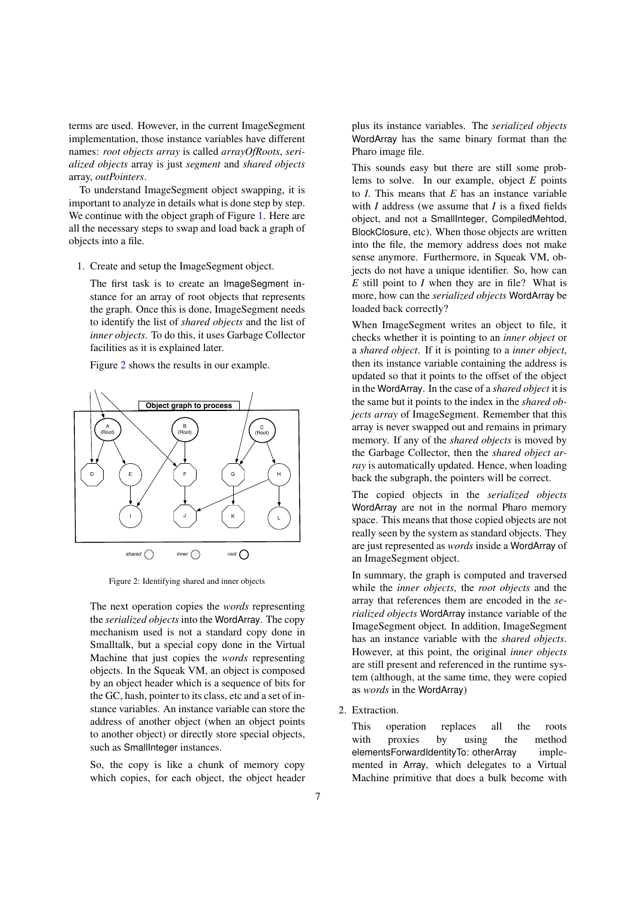terms are used. However, in the current ImageSegment implementation, those instance variables have different names: *root objects array* is called *arrayOfRoots*, *serialized objects* array is just *segment* and *shared objects* array, *outPointers*.

To understand ImageSegment object swapping, it is important to analyze in details what is done step by step. We continue with the object graph of Figure [1.](#page-2-1) Here are all the necessary steps to swap and load back a graph of objects into a file.

1. Create and setup the ImageSegment object.

The first task is to create an ImageSegment instance for an array of root objects that represents the graph. Once this is done, ImageSegment needs to identify the list of *shared objects* and the list of *inner objects*. To do this, it uses Garbage Collector facilities as it is explained later.

Figure [2](#page-6-0) shows the results in our example.



<span id="page-6-0"></span>Figure 2: Identifying shared and inner objects

The next operation copies the *words* representing the *serialized objects* into the WordArray. The copy mechanism used is not a standard copy done in Smalltalk, but a special copy done in the Virtual Machine that just copies the *words* representing objects. In the Squeak VM, an object is composed by an object header which is a sequence of bits for the GC, hash, pointer to its class, etc and a set of instance variables. An instance variable can store the address of another object (when an object points to another object) or directly store special objects, such as SmallInteger instances.

So, the copy is like a chunk of memory copy which copies, for each object, the object header plus its instance variables. The *serialized objects* WordArray has the same binary format than the Pharo image file.

This sounds easy but there are still some problems to solve. In our example, object *E* points to *I*. This means that *E* has an instance variable with *I* address (we assume that *I* is a fixed fields object, and not a SmallInteger, CompiledMehtod, BlockClosure, etc). When those objects are written into the file, the memory address does not make sense anymore. Furthermore, in Squeak VM, objects do not have a unique identifier. So, how can *E* still point to *I* when they are in file? What is more, how can the *serialized objects* WordArray be loaded back correctly?

When ImageSegment writes an object to file, it checks whether it is pointing to an *inner object* or a *shared object*. If it is pointing to a *inner object*, then its instance variable containing the address is updated so that it points to the offset of the object in the WordArray. In the case of a *shared object* it is the same but it points to the index in the *shared objects array* of ImageSegment. Remember that this array is never swapped out and remains in primary memory. If any of the *shared objects* is moved by the Garbage Collector, then the *shared object array* is automatically updated. Hence, when loading back the subgraph, the pointers will be correct.

The copied objects in the *serialized objects* WordArray are not in the normal Pharo memory space. This means that those copied objects are not really seen by the system as standard objects. They are just represented as *words* inside a WordArray of an ImageSegment object.

In summary, the graph is computed and traversed while the *inner objects*, the *root objects* and the array that references them are encoded in the *serialized objects* WordArray instance variable of the ImageSegment object. In addition, ImageSegment has an instance variable with the *shared objects*. However, at this point, the original *inner objects* are still present and referenced in the runtime system (although, at the same time, they were copied as *words* in the WordArray)

2. Extraction.

This operation replaces all the roots with proxies by using the method elementsForwardIdentityTo: otherArray implemented in Array, which delegates to a Virtual Machine primitive that does a bulk become with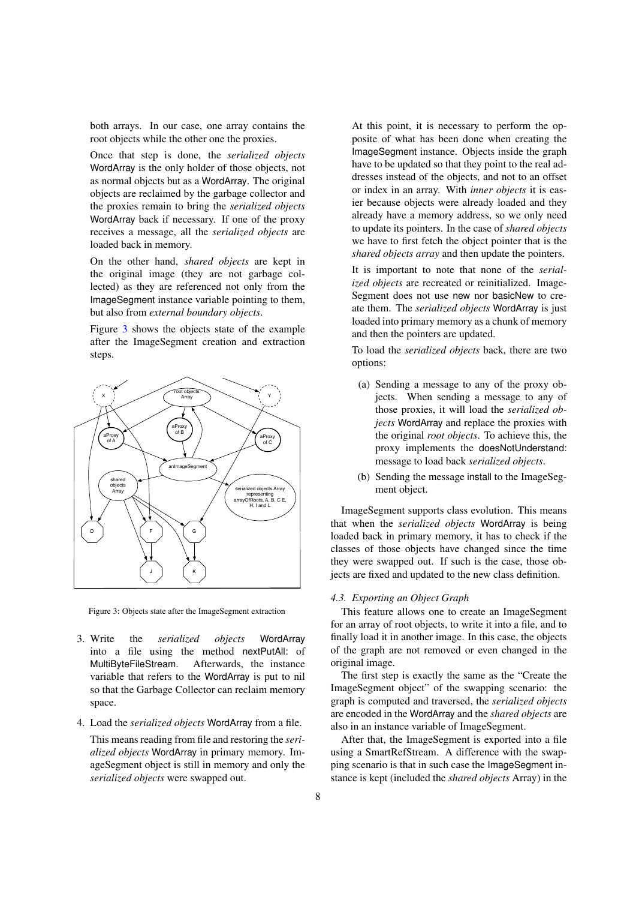both arrays. In our case, one array contains the root objects while the other one the proxies.

Once that step is done, the *serialized objects* WordArray is the only holder of those objects, not as normal objects but as a WordArray. The original objects are reclaimed by the garbage collector and the proxies remain to bring the *serialized objects* WordArray back if necessary. If one of the proxy receives a message, all the *serialized objects* are loaded back in memory.

On the other hand, *shared objects* are kept in the original image (they are not garbage collected) as they are referenced not only from the ImageSegment instance variable pointing to them, but also from *external boundary objects*.

Figure [3](#page-7-0) shows the objects state of the example after the ImageSegment creation and extraction steps.



<span id="page-7-0"></span>Figure 3: Objects state after the ImageSegment extraction

- 3. Write the *serialized objects* WordArray into a file using the method nextPutAll: of MultiByteFileStream. Afterwards, the instance variable that refers to the WordArray is put to nil so that the Garbage Collector can reclaim memory space.
- 4. Load the *serialized objects* WordArray from a file.

This means reading from file and restoring the *serialized objects* WordArray in primary memory. ImageSegment object is still in memory and only the *serialized objects* were swapped out.

At this point, it is necessary to perform the opposite of what has been done when creating the ImageSegment instance. Objects inside the graph have to be updated so that they point to the real addresses instead of the objects, and not to an offset or index in an array. With *inner objects* it is easier because objects were already loaded and they already have a memory address, so we only need to update its pointers. In the case of *shared objects* we have to first fetch the object pointer that is the *shared objects array* and then update the pointers.

It is important to note that none of the *serialized objects* are recreated or reinitialized. Image-Segment does not use new nor basicNew to create them. The *serialized objects* WordArray is just loaded into primary memory as a chunk of memory and then the pointers are updated.

To load the *serialized objects* back, there are two options:

- (a) Sending a message to any of the proxy objects. When sending a message to any of those proxies, it will load the *serialized objects* WordArray and replace the proxies with the original *root objects*. To achieve this, the proxy implements the doesNotUnderstand: message to load back *serialized objects*.
- (b) Sending the message install to the ImageSegment object.

ImageSegment supports class evolution. This means that when the *serialized objects* WordArray is being loaded back in primary memory, it has to check if the classes of those objects have changed since the time they were swapped out. If such is the case, those objects are fixed and updated to the new class definition.

## *4.3. Exporting an Object Graph*

This feature allows one to create an ImageSegment for an array of root objects, to write it into a file, and to finally load it in another image. In this case, the objects of the graph are not removed or even changed in the original image.

The first step is exactly the same as the "Create the ImageSegment object" of the swapping scenario: the graph is computed and traversed, the *serialized objects* are encoded in the WordArray and the *shared objects* are also in an instance variable of ImageSegment.

After that, the ImageSegment is exported into a file using a SmartRefStream. A difference with the swapping scenario is that in such case the ImageSegment instance is kept (included the *shared objects* Array) in the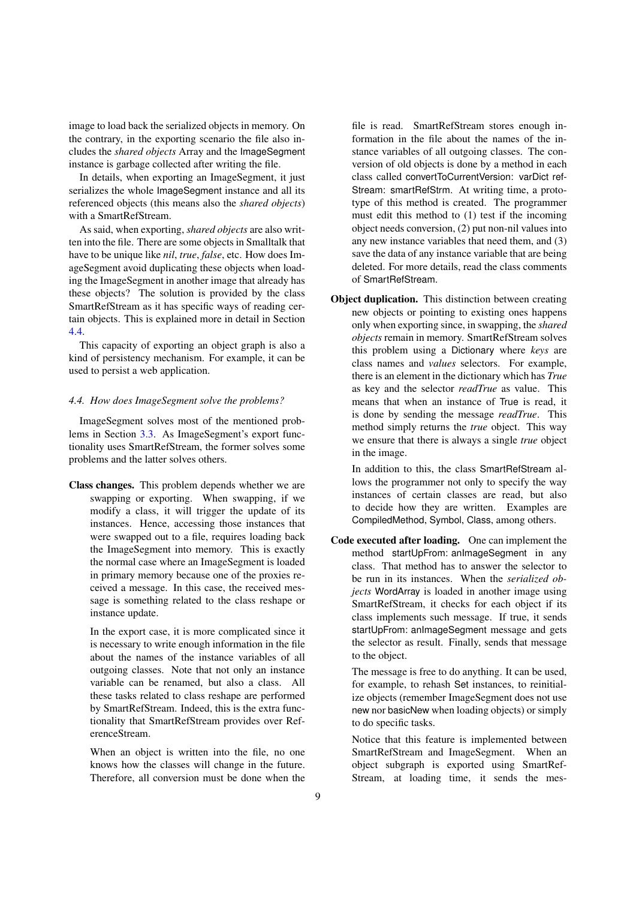image to load back the serialized objects in memory. On the contrary, in the exporting scenario the file also includes the *shared objects* Array and the ImageSegment instance is garbage collected after writing the file.

In details, when exporting an ImageSegment, it just serializes the whole ImageSegment instance and all its referenced objects (this means also the *shared objects*) with a SmartRefStream.

As said, when exporting, *shared objects* are also written into the file. There are some objects in Smalltalk that have to be unique like *nil*, *true*, *false*, etc. How does ImageSegment avoid duplicating these objects when loading the ImageSegment in another image that already has these objects? The solution is provided by the class SmartRefStream as it has specific ways of reading certain objects. This is explained more in detail in Section [4.4.](#page-8-0)

This capacity of exporting an object graph is also a kind of persistency mechanism. For example, it can be used to persist a web application.

#### <span id="page-8-0"></span>*4.4. How does ImageSegment solve the problems?*

ImageSegment solves most of the mentioned problems in Section [3.3.](#page-4-0) As ImageSegment's export functionality uses SmartRefStream, the former solves some problems and the latter solves others.

Class changes. This problem depends whether we are swapping or exporting. When swapping, if we modify a class, it will trigger the update of its instances. Hence, accessing those instances that were swapped out to a file, requires loading back the ImageSegment into memory. This is exactly the normal case where an ImageSegment is loaded in primary memory because one of the proxies received a message. In this case, the received message is something related to the class reshape or instance update.

In the export case, it is more complicated since it is necessary to write enough information in the file about the names of the instance variables of all outgoing classes. Note that not only an instance variable can be renamed, but also a class. All these tasks related to class reshape are performed by SmartRefStream. Indeed, this is the extra functionality that SmartRefStream provides over ReferenceStream.

When an object is written into the file, no one knows how the classes will change in the future. Therefore, all conversion must be done when the

file is read. SmartRefStream stores enough information in the file about the names of the instance variables of all outgoing classes. The conversion of old objects is done by a method in each class called convertToCurrentVersion: varDict ref-Stream: smartRefStrm. At writing time, a prototype of this method is created. The programmer must edit this method to (1) test if the incoming object needs conversion, (2) put non-nil values into any new instance variables that need them, and (3) save the data of any instance variable that are being deleted. For more details, read the class comments of SmartRefStream.

Object duplication. This distinction between creating new objects or pointing to existing ones happens only when exporting since, in swapping, the *shared objects* remain in memory. SmartRefStream solves this problem using a Dictionary where *keys* are class names and *values* selectors. For example, there is an element in the dictionary which has *True* as key and the selector *readTrue* as value. This means that when an instance of True is read, it is done by sending the message *readTrue*. This method simply returns the *true* object. This way we ensure that there is always a single *true* object in the image.

In addition to this, the class SmartRefStream allows the programmer not only to specify the way instances of certain classes are read, but also to decide how they are written. Examples are CompiledMethod, Symbol, Class, among others.

Code executed after loading. One can implement the method startUpFrom: anImageSegment in any class. That method has to answer the selector to be run in its instances. When the *serialized objects* WordArray is loaded in another image using SmartRefStream, it checks for each object if its class implements such message. If true, it sends startUpFrom: anImageSegment message and gets the selector as result. Finally, sends that message to the object.

The message is free to do anything. It can be used, for example, to rehash Set instances, to reinitialize objects (remember ImageSegment does not use new nor basicNew when loading objects) or simply to do specific tasks.

Notice that this feature is implemented between SmartRefStream and ImageSegment. When an object subgraph is exported using SmartRef-Stream, at loading time, it sends the mes-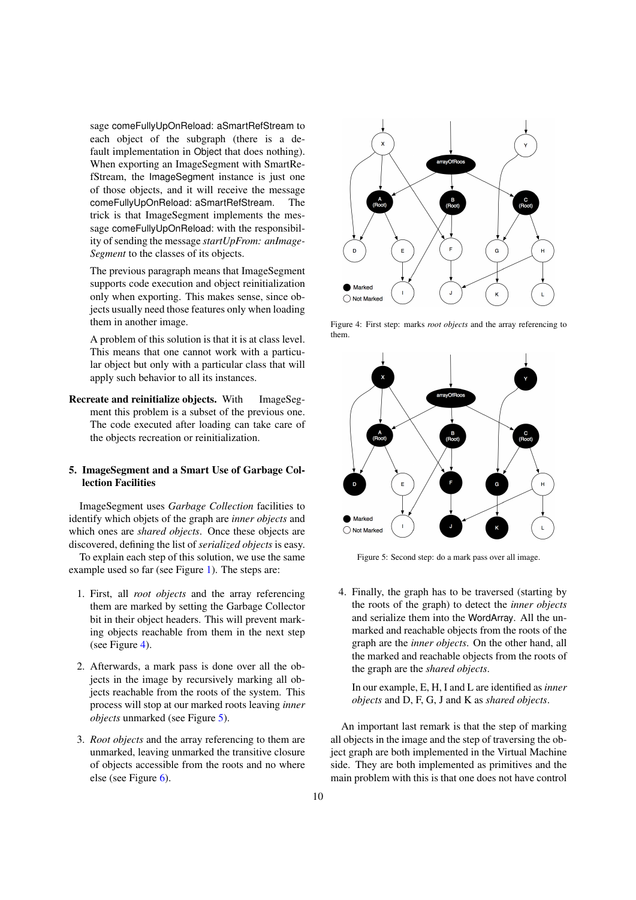sage comeFullyUpOnReload: aSmartRefStream to each object of the subgraph (there is a default implementation in Object that does nothing). When exporting an ImageSegment with SmartRefStream, the ImageSegment instance is just one of those objects, and it will receive the message comeFullyUpOnReload: aSmartRefStream. The trick is that ImageSegment implements the message comeFullyUpOnReload: with the responsibility of sending the message *startUpFrom: anImage-Segment* to the classes of its objects.

The previous paragraph means that ImageSegment supports code execution and object reinitialization only when exporting. This makes sense, since objects usually need those features only when loading them in another image.

A problem of this solution is that it is at class level. This means that one cannot work with a particular object but only with a particular class that will apply such behavior to all its instances.

Recreate and reinitialize objects. With ImageSegment this problem is a subset of the previous one. The code executed after loading can take care of the objects recreation or reinitialization.

### <span id="page-9-0"></span>5. ImageSegment and a Smart Use of Garbage Collection Facilities

ImageSegment uses *Garbage Collection* facilities to identify which objets of the graph are *inner objects* and which ones are *shared objects*. Once these objects are discovered, defining the list of *serialized objects* is easy.

To explain each step of this solution, we use the same example used so far (see Figure [1\)](#page-2-1). The steps are:

- 1. First, all *root objects* and the array referencing them are marked by setting the Garbage Collector bit in their object headers. This will prevent marking objects reachable from them in the next step (see Figure [4\)](#page-9-1).
- 2. Afterwards, a mark pass is done over all the objects in the image by recursively marking all objects reachable from the roots of the system. This process will stop at our marked roots leaving *inner objects* unmarked (see Figure [5\)](#page-9-2).
- 3. *Root objects* and the array referencing to them are unmarked, leaving unmarked the transitive closure of objects accessible from the roots and no where else (see Figure [6\)](#page-10-1).



<span id="page-9-1"></span>Figure 4: First step: marks *root objects* and the array referencing to them.



<span id="page-9-2"></span>Figure 5: Second step: do a mark pass over all image.

4. Finally, the graph has to be traversed (starting by the roots of the graph) to detect the *inner objects* and serialize them into the WordArray. All the unmarked and reachable objects from the roots of the graph are the *inner objects*. On the other hand, all the marked and reachable objects from the roots of the graph are the *shared objects*.

In our example, E, H, I and L are identified as *inner objects* and D, F, G, J and K as *shared objects*.

An important last remark is that the step of marking all objects in the image and the step of traversing the object graph are both implemented in the Virtual Machine side. They are both implemented as primitives and the main problem with this is that one does not have control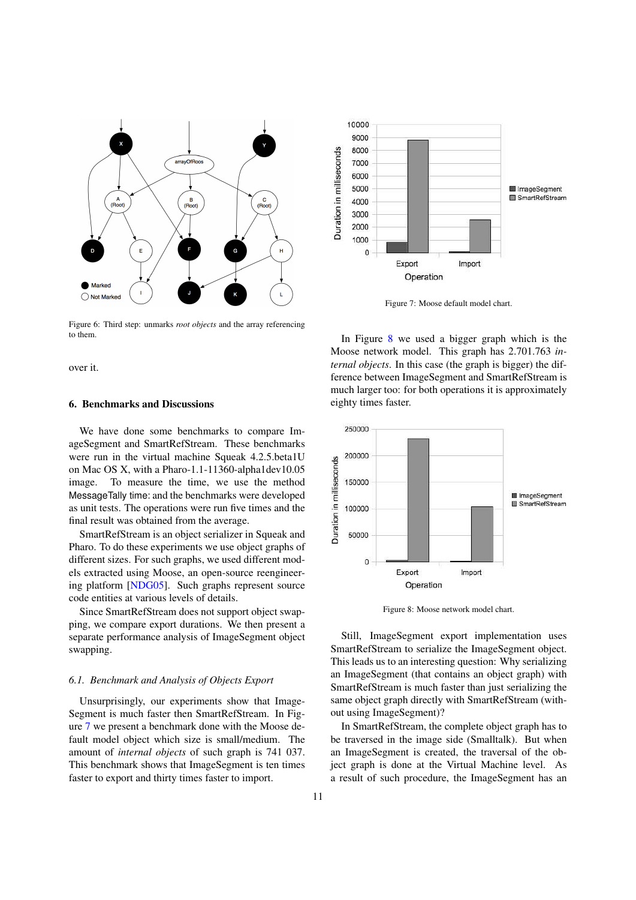

<span id="page-10-1"></span>Figure 6: Third step: unmarks *root objects* and the array referencing to them.

over it.

#### <span id="page-10-0"></span>6. Benchmarks and Discussions

We have done some benchmarks to compare ImageSegment and SmartRefStream. These benchmarks were run in the virtual machine Squeak 4.2.5.beta1U on Mac OS X, with a Pharo-1.1-11360-alpha1dev10.05 image. To measure the time, we use the method MessageTally time: and the benchmarks were developed as unit tests. The operations were run five times and the final result was obtained from the average.

SmartRefStream is an object serializer in Squeak and Pharo. To do these experiments we use object graphs of different sizes. For such graphs, we used different models extracted using Moose, an open-source reengineering platform [\[NDG05\]](#page-15-11). Such graphs represent source code entities at various levels of details.

Since SmartRefStream does not support object swapping, we compare export durations. We then present a separate performance analysis of ImageSegment object swapping.

#### *6.1. Benchmark and Analysis of Objects Export*

Unsurprisingly, our experiments show that Image-Segment is much faster then SmartRefStream. In Figure [7](#page-10-2) we present a benchmark done with the Moose default model object which size is small/medium. The amount of *internal objects* of such graph is 741 037. This benchmark shows that ImageSegment is ten times faster to export and thirty times faster to import.



<span id="page-10-2"></span>Figure 7: Moose default model chart.

In Figure [8](#page-10-3) we used a bigger graph which is the Moose network model. This graph has 2.701.763 *internal objects*. In this case (the graph is bigger) the difference between ImageSegment and SmartRefStream is much larger too: for both operations it is approximately eighty times faster.



<span id="page-10-3"></span>Figure 8: Moose network model chart.

Still, ImageSegment export implementation uses SmartRefStream to serialize the ImageSegment object. This leads us to an interesting question: Why serializing an ImageSegment (that contains an object graph) with SmartRefStream is much faster than just serializing the same object graph directly with SmartRefStream (without using ImageSegment)?

In SmartRefStream, the complete object graph has to be traversed in the image side (Smalltalk). But when an ImageSegment is created, the traversal of the object graph is done at the Virtual Machine level. As a result of such procedure, the ImageSegment has an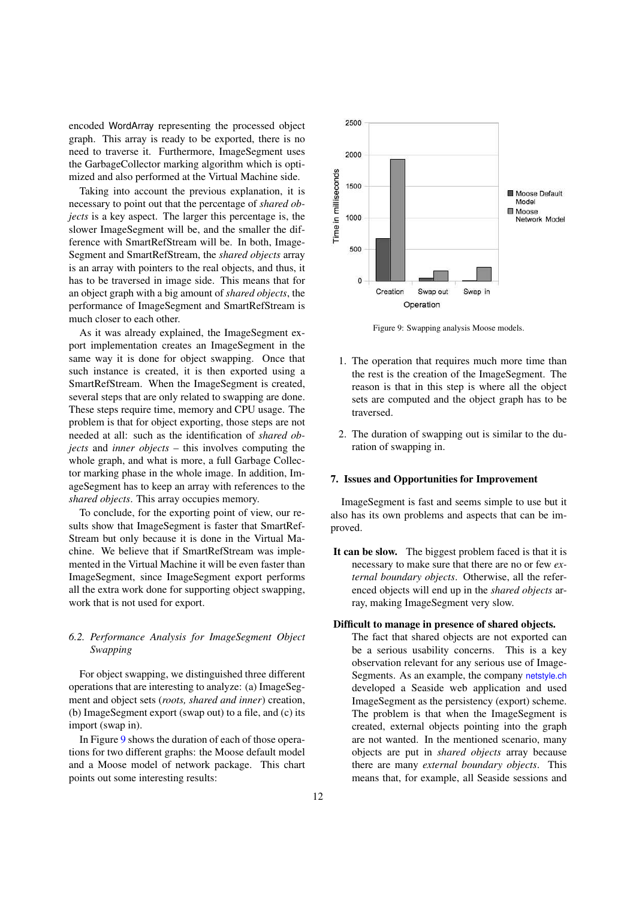encoded WordArray representing the processed object graph. This array is ready to be exported, there is no need to traverse it. Furthermore, ImageSegment uses the GarbageCollector marking algorithm which is optimized and also performed at the Virtual Machine side.

Taking into account the previous explanation, it is necessary to point out that the percentage of *shared objects* is a key aspect. The larger this percentage is, the slower ImageSegment will be, and the smaller the difference with SmartRefStream will be. In both, Image-Segment and SmartRefStream, the *shared objects* array is an array with pointers to the real objects, and thus, it has to be traversed in image side. This means that for an object graph with a big amount of *shared objects*, the performance of ImageSegment and SmartRefStream is much closer to each other.

As it was already explained, the ImageSegment export implementation creates an ImageSegment in the same way it is done for object swapping. Once that such instance is created, it is then exported using a SmartRefStream. When the ImageSegment is created, several steps that are only related to swapping are done. These steps require time, memory and CPU usage. The problem is that for object exporting, those steps are not needed at all: such as the identification of *shared objects* and *inner objects* – this involves computing the whole graph, and what is more, a full Garbage Collector marking phase in the whole image. In addition, ImageSegment has to keep an array with references to the *shared objects*. This array occupies memory.

To conclude, for the exporting point of view, our results show that ImageSegment is faster that SmartRef-Stream but only because it is done in the Virtual Machine. We believe that if SmartRefStream was implemented in the Virtual Machine it will be even faster than ImageSegment, since ImageSegment export performs all the extra work done for supporting object swapping, work that is not used for export.

### *6.2. Performance Analysis for ImageSegment Object Swapping*

For object swapping, we distinguished three different operations that are interesting to analyze: (a) ImageSegment and object sets (*roots, shared and inner*) creation, (b) ImageSegment export (swap out) to a file, and (c) its import (swap in).

In Figure [9](#page-11-1) shows the duration of each of those operations for two different graphs: the Moose default model and a Moose model of network package. This chart points out some interesting results:



<span id="page-11-1"></span>Figure 9: Swapping analysis Moose models.

- 1. The operation that requires much more time than the rest is the creation of the ImageSegment. The reason is that in this step is where all the object sets are computed and the object graph has to be traversed.
- 2. The duration of swapping out is similar to the duration of swapping in.

#### <span id="page-11-0"></span>7. Issues and Opportunities for Improvement

ImageSegment is fast and seems simple to use but it also has its own problems and aspects that can be improved.

It can be slow. The biggest problem faced is that it is necessary to make sure that there are no or few *external boundary objects*. Otherwise, all the referenced objects will end up in the *shared objects* array, making ImageSegment very slow.

### Difficult to manage in presence of shared objects.

The fact that shared objects are not exported can be a serious usability concerns. This is a key observation relevant for any serious use of Image-Segments. As an example, the company <netstyle.ch> developed a Seaside web application and used ImageSegment as the persistency (export) scheme. The problem is that when the ImageSegment is created, external objects pointing into the graph are not wanted. In the mentioned scenario, many objects are put in *shared objects* array because there are many *external boundary objects*. This means that, for example, all Seaside sessions and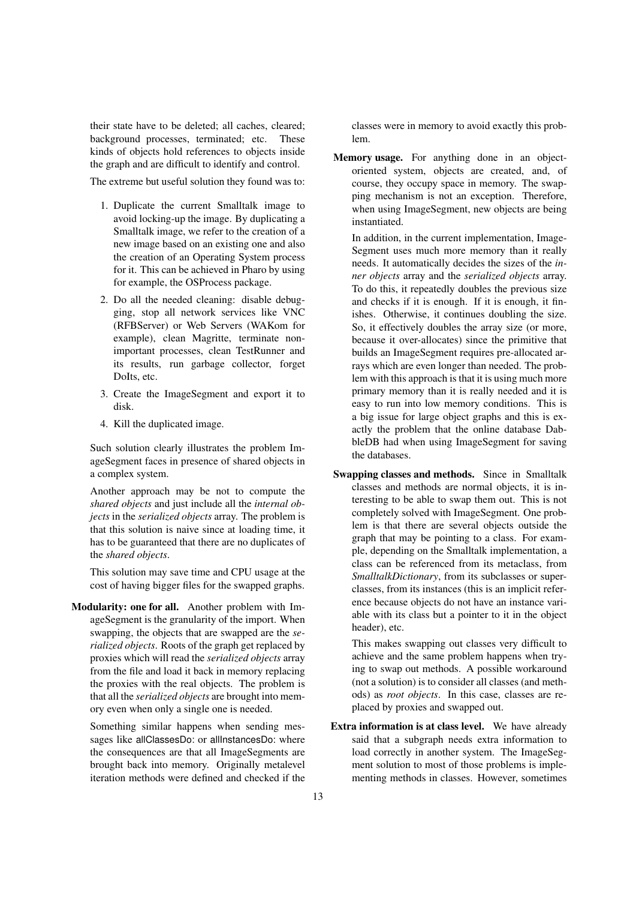their state have to be deleted; all caches, cleared; background processes, terminated; etc. These kinds of objects hold references to objects inside the graph and are difficult to identify and control.

The extreme but useful solution they found was to:

- 1. Duplicate the current Smalltalk image to avoid locking-up the image. By duplicating a Smalltalk image, we refer to the creation of a new image based on an existing one and also the creation of an Operating System process for it. This can be achieved in Pharo by using for example, the OSProcess package.
- 2. Do all the needed cleaning: disable debugging, stop all network services like VNC (RFBServer) or Web Servers (WAKom for example), clean Magritte, terminate nonimportant processes, clean TestRunner and its results, run garbage collector, forget DoIts, etc.
- 3. Create the ImageSegment and export it to disk.
- 4. Kill the duplicated image.

Such solution clearly illustrates the problem ImageSegment faces in presence of shared objects in a complex system.

Another approach may be not to compute the *shared objects* and just include all the *internal objects* in the *serialized objects* array. The problem is that this solution is naive since at loading time, it has to be guaranteed that there are no duplicates of the *shared objects*.

This solution may save time and CPU usage at the cost of having bigger files for the swapped graphs.

Modularity: one for all. Another problem with ImageSegment is the granularity of the import. When swapping, the objects that are swapped are the *serialized objects*. Roots of the graph get replaced by proxies which will read the *serialized objects* array from the file and load it back in memory replacing the proxies with the real objects. The problem is that all the *serialized objects* are brought into memory even when only a single one is needed.

Something similar happens when sending messages like allClassesDo: or allInstancesDo: where the consequences are that all ImageSegments are brought back into memory. Originally metalevel iteration methods were defined and checked if the

classes were in memory to avoid exactly this problem.

Memory usage. For anything done in an objectoriented system, objects are created, and, of course, they occupy space in memory. The swapping mechanism is not an exception. Therefore, when using ImageSegment, new objects are being instantiated.

In addition, in the current implementation, Image-Segment uses much more memory than it really needs. It automatically decides the sizes of the *inner objects* array and the *serialized objects* array. To do this, it repeatedly doubles the previous size and checks if it is enough. If it is enough, it finishes. Otherwise, it continues doubling the size. So, it effectively doubles the array size (or more, because it over-allocates) since the primitive that builds an ImageSegment requires pre-allocated arrays which are even longer than needed. The problem with this approach is that it is using much more primary memory than it is really needed and it is easy to run into low memory conditions. This is a big issue for large object graphs and this is exactly the problem that the online database DabbleDB had when using ImageSegment for saving the databases.

Swapping classes and methods. Since in Smalltalk classes and methods are normal objects, it is interesting to be able to swap them out. This is not completely solved with ImageSegment. One problem is that there are several objects outside the graph that may be pointing to a class. For example, depending on the Smalltalk implementation, a class can be referenced from its metaclass, from *SmalltalkDictionary*, from its subclasses or superclasses, from its instances (this is an implicit reference because objects do not have an instance variable with its class but a pointer to it in the object header), etc.

This makes swapping out classes very difficult to achieve and the same problem happens when trying to swap out methods. A possible workaround (not a solution) is to consider all classes (and methods) as *root objects*. In this case, classes are replaced by proxies and swapped out.

Extra information is at class level. We have already said that a subgraph needs extra information to load correctly in another system. The ImageSegment solution to most of those problems is implementing methods in classes. However, sometimes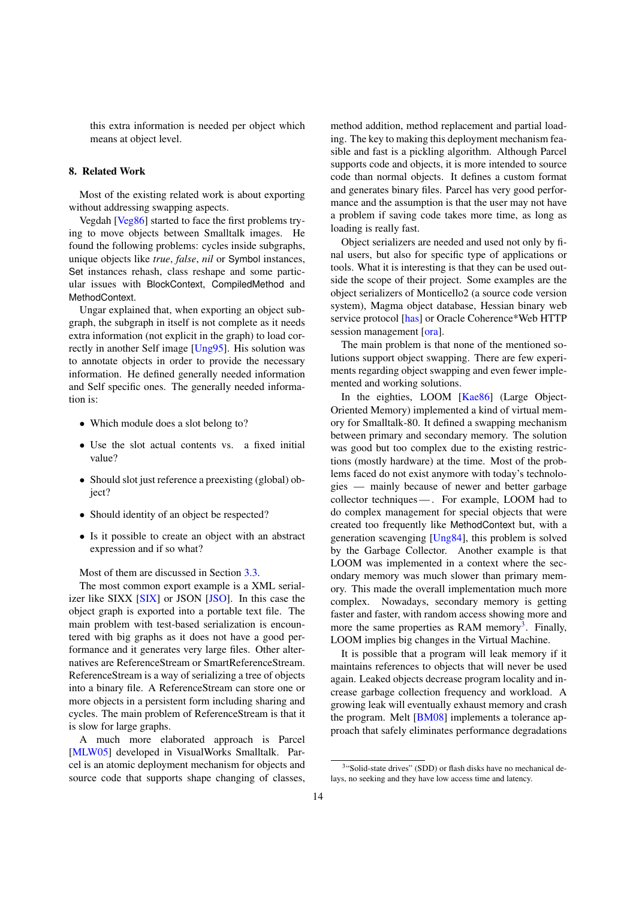this extra information is needed per object which means at object level.

### <span id="page-13-0"></span>8. Related Work

Most of the existing related work is about exporting without addressing swapping aspects.

Vegdah [\[Veg86\]](#page-15-12) started to face the first problems trying to move objects between Smalltalk images. He found the following problems: cycles inside subgraphs, unique objects like *true*, *false*, *nil* or Symbol instances, Set instances rehash, class reshape and some particular issues with BlockContext, CompiledMethod and MethodContext.

Ungar explained that, when exporting an object subgraph, the subgraph in itself is not complete as it needs extra information (not explicit in the graph) to load correctly in another Self image [\[Ung95\]](#page-15-6). His solution was to annotate objects in order to provide the necessary information. He defined generally needed information and Self specific ones. The generally needed information is:

- Which module does a slot belong to?
- Use the slot actual contents vs. a fixed initial value?
- Should slot just reference a preexisting (global) object?
- Should identity of an object be respected?
- Is it possible to create an object with an abstract expression and if so what?

Most of them are discussed in Section [3.3.](#page-4-0)

The most common export example is a XML serializer like SIXX [\[SIX\]](#page-15-1) or JSON [\[JSO\]](#page-15-2). In this case the object graph is exported into a portable text file. The main problem with test-based serialization is encountered with big graphs as it does not have a good performance and it generates very large files. Other alternatives are ReferenceStream or SmartReferenceStream. ReferenceStream is a way of serializing a tree of objects into a binary file. A ReferenceStream can store one or more objects in a persistent form including sharing and cycles. The main problem of ReferenceStream is that it is slow for large graphs.

A much more elaborated approach is Parcel [\[MLW05\]](#page-15-7) developed in VisualWorks Smalltalk. Parcel is an atomic deployment mechanism for objects and source code that supports shape changing of classes, method addition, method replacement and partial loading. The key to making this deployment mechanism feasible and fast is a pickling algorithm. Although Parcel supports code and objects, it is more intended to source code than normal objects. It defines a custom format and generates binary files. Parcel has very good performance and the assumption is that the user may not have a problem if saving code takes more time, as long as loading is really fast.

Object serializers are needed and used not only by final users, but also for specific type of applications or tools. What it is interesting is that they can be used outside the scope of their project. Some examples are the object serializers of Monticello2 (a source code version system), Magma object database, Hessian binary web service protocol [\[has\]](#page-15-13) or Oracle Coherence\*Web HTTP session management [\[ora\]](#page-15-8).

The main problem is that none of the mentioned solutions support object swapping. There are few experiments regarding object swapping and even fewer implemented and working solutions.

In the eighties, LOOM [\[Kae86\]](#page-15-0) (Large Object-Oriented Memory) implemented a kind of virtual memory for Smalltalk-80. It defined a swapping mechanism between primary and secondary memory. The solution was good but too complex due to the existing restrictions (mostly hardware) at the time. Most of the problems faced do not exist anymore with today's technologies — mainly because of newer and better garbage collector techniques — . For example, LOOM had to do complex management for special objects that were created too frequently like MethodContext but, with a generation scavenging [\[Ung84\]](#page-15-14), this problem is solved by the Garbage Collector. Another example is that LOOM was implemented in a context where the secondary memory was much slower than primary memory. This made the overall implementation much more complex. Nowadays, secondary memory is getting faster and faster, with random access showing more and more the same properties as RAM memory<sup>[3](#page-13-1)</sup>. Finally, LOOM implies big changes in the Virtual Machine.

It is possible that a program will leak memory if it maintains references to objects that will never be used again. Leaked objects decrease program locality and increase garbage collection frequency and workload. A growing leak will eventually exhaust memory and crash the program. Melt [\[BM08\]](#page-15-15) implements a tolerance approach that safely eliminates performance degradations

<span id="page-13-1"></span><sup>3</sup> "Solid-state drives" (SDD) or flash disks have no mechanical delays, no seeking and they have low access time and latency.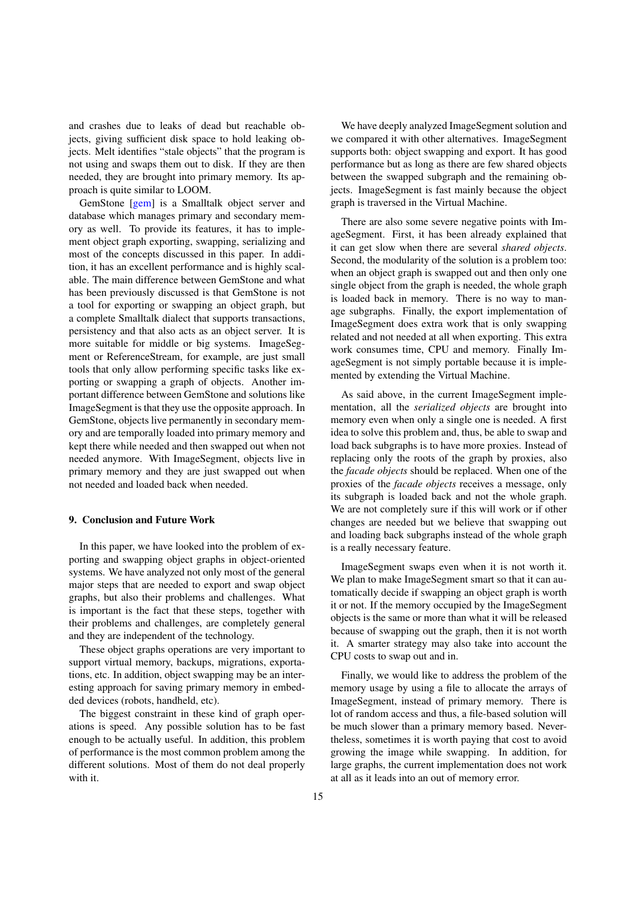and crashes due to leaks of dead but reachable objects, giving sufficient disk space to hold leaking objects. Melt identifies "stale objects" that the program is not using and swaps them out to disk. If they are then needed, they are brought into primary memory. Its approach is quite similar to LOOM.

GemStone [\[gem\]](#page-15-16) is a Smalltalk object server and database which manages primary and secondary memory as well. To provide its features, it has to implement object graph exporting, swapping, serializing and most of the concepts discussed in this paper. In addition, it has an excellent performance and is highly scalable. The main difference between GemStone and what has been previously discussed is that GemStone is not a tool for exporting or swapping an object graph, but a complete Smalltalk dialect that supports transactions, persistency and that also acts as an object server. It is more suitable for middle or big systems. ImageSegment or ReferenceStream, for example, are just small tools that only allow performing specific tasks like exporting or swapping a graph of objects. Another important difference between GemStone and solutions like ImageSegment is that they use the opposite approach. In GemStone, objects live permanently in secondary memory and are temporally loaded into primary memory and kept there while needed and then swapped out when not needed anymore. With ImageSegment, objects live in primary memory and they are just swapped out when not needed and loaded back when needed.

### <span id="page-14-0"></span>9. Conclusion and Future Work

In this paper, we have looked into the problem of exporting and swapping object graphs in object-oriented systems. We have analyzed not only most of the general major steps that are needed to export and swap object graphs, but also their problems and challenges. What is important is the fact that these steps, together with their problems and challenges, are completely general and they are independent of the technology.

These object graphs operations are very important to support virtual memory, backups, migrations, exportations, etc. In addition, object swapping may be an interesting approach for saving primary memory in embedded devices (robots, handheld, etc).

The biggest constraint in these kind of graph operations is speed. Any possible solution has to be fast enough to be actually useful. In addition, this problem of performance is the most common problem among the different solutions. Most of them do not deal properly with it.

We have deeply analyzed ImageSegment solution and we compared it with other alternatives. ImageSegment supports both: object swapping and export. It has good performance but as long as there are few shared objects between the swapped subgraph and the remaining objects. ImageSegment is fast mainly because the object graph is traversed in the Virtual Machine.

There are also some severe negative points with ImageSegment. First, it has been already explained that it can get slow when there are several *shared objects*. Second, the modularity of the solution is a problem too: when an object graph is swapped out and then only one single object from the graph is needed, the whole graph is loaded back in memory. There is no way to manage subgraphs. Finally, the export implementation of ImageSegment does extra work that is only swapping related and not needed at all when exporting. This extra work consumes time, CPU and memory. Finally ImageSegment is not simply portable because it is implemented by extending the Virtual Machine.

As said above, in the current ImageSegment implementation, all the *serialized objects* are brought into memory even when only a single one is needed. A first idea to solve this problem and, thus, be able to swap and load back subgraphs is to have more proxies. Instead of replacing only the roots of the graph by proxies, also the *facade objects* should be replaced. When one of the proxies of the *facade objects* receives a message, only its subgraph is loaded back and not the whole graph. We are not completely sure if this will work or if other changes are needed but we believe that swapping out and loading back subgraphs instead of the whole graph is a really necessary feature.

ImageSegment swaps even when it is not worth it. We plan to make ImageSegment smart so that it can automatically decide if swapping an object graph is worth it or not. If the memory occupied by the ImageSegment objects is the same or more than what it will be released because of swapping out the graph, then it is not worth it. A smarter strategy may also take into account the CPU costs to swap out and in.

Finally, we would like to address the problem of the memory usage by using a file to allocate the arrays of ImageSegment, instead of primary memory. There is lot of random access and thus, a file-based solution will be much slower than a primary memory based. Nevertheless, sometimes it is worth paying that cost to avoid growing the image while swapping. In addition, for large graphs, the current implementation does not work at all as it leads into an out of memory error.